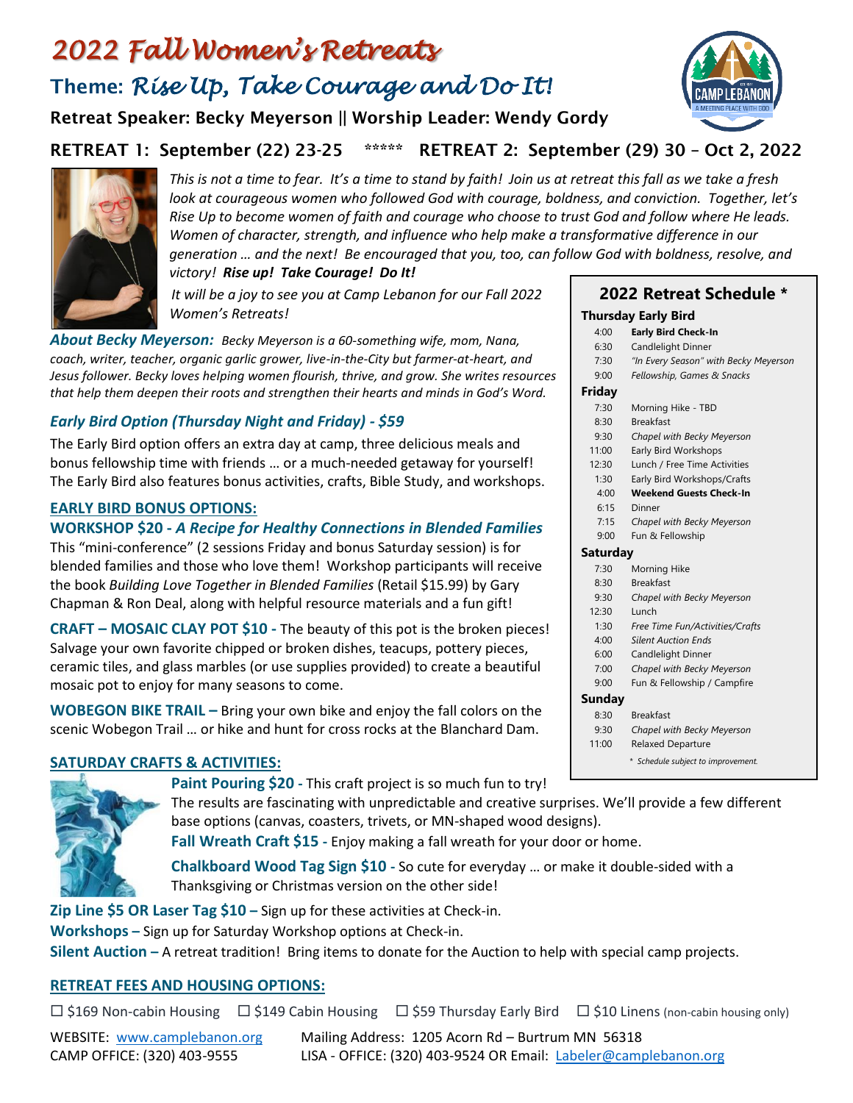# *2022 Fall Women's Retreats* Theme: *Rise Up, Take Courage and Do It!*

Retreat Speaker: Becky Meyerson || Worship Leader: Wendy Gordy

## RETREAT 1: September (22) 23-25 \*\*\*\*\* RETREAT 2: September (29) 30 – Oct 2, 2022



*This is not a time to fear. It's a time to stand by faith! Join us at retreat this fall as we take a fresh look at courageous women who followed God with courage, boldness, and conviction. Together, let's Rise Up to become women of faith and courage who choose to trust God and follow where He leads. Women of character, strength, and influence who help make a transformative difference in our generation … and the next! Be encouraged that you, too, can follow God with boldness, resolve, and victory! Rise up! Take Courage! Do It!*

*It will be a joy to see you at Camp Lebanon for our Fall 2022 Women's Retreats!* 

*About Becky Meyerson: Becky Meyerson is a 60-something wife, mom, Nana, coach, writer, teacher, organic garlic grower, live-in-the-City but farmer-at-heart, and Jesus follower. Becky loves helping women flourish, thrive, and grow. She writes resources that help them deepen their roots and strengthen their hearts and minds in God's Word.*

## *Early Bird Option (Thursday Night and Friday) - \$59*

The Early Bird option offers an extra day at camp, three delicious meals and bonus fellowship time with friends … or a much-needed getaway for yourself! The Early Bird also features bonus activities, crafts, Bible Study, and workshops.

#### **EARLY BIRD BONUS OPTIONS:**

#### **WORKSHOP \$20 -** *A Recipe for Healthy Connections in Blended Families*

This "mini-conference" (2 sessions Friday and bonus Saturday session) is for blended families and those who love them! Workshop participants will receive the book *Building Love Together in Blended Families* (Retail \$15.99) by Gary Chapman & Ron Deal, along with helpful resource materials and a fun gift!

**CRAFT – MOSAIC CLAY POT \$10 -** The beauty of this pot is the broken pieces! Salvage your own favorite chipped or broken dishes, teacups, pottery pieces, ceramic tiles, and glass marbles (or use supplies provided) to create a beautiful mosaic pot to enjoy for many seasons to come.

**WOBEGON BIKE TRAIL –** Bring your own bike and enjoy the fall colors on the scenic Wobegon Trail … or hike and hunt for cross rocks at the Blanchard Dam.

## **SATURDAY CRAFTS & ACTIVITIES:**



**Paint Pouring \$20 -** This craft project is so much fun to try!

The results are fascinating with unpredictable and creative surprises. We'll provide a few different base options (canvas, coasters, trivets, or MN-shaped wood designs).

**Fall Wreath Craft \$15 -** Enjoy making a fall wreath for your door or home.

**Chalkboard Wood Tag Sign \$10 -** So cute for everyday … or make it double-sided with a Thanksgiving or Christmas version on the other side!

**Zip Line \$5 OR Laser Tag \$10 –** Sign up for these activities at Check-in.

**Workshops –** Sign up for Saturday Workshop options at Check-in.

**Silent Auction –** A retreat tradition! Bring items to donate for the Auction to help with special camp projects.

## **RETREAT FEES AND HOUSING OPTIONS:**

 $\Box$  \$169 Non-cabin Housing  $\Box$  \$149 Cabin Housing  $\Box$  \$59 Thursday Early Bird  $\Box$  \$10 Linens (non-cabin housing only)

WEBSITE: [www.camplebanon.org](http://www.camplebanon.org/) Mailing Address: 1205 Acorn Rd – Burtrum MN 56318 CAMP OFFICE: (320) 403-9555 LISA - OFFICE: (320) 403-9524 OR Email: [Labeler@camplebanon.org](mailto:Labeler@camplebanon.org)



| 6:30     | Candlelight Dinner                    |
|----------|---------------------------------------|
| 7:30     | "In Every Season" with Becky Meyerson |
| 9:00     | Fellowship, Games & Snacks            |
| Fridav   |                                       |
| 7:30     | Morning Hike - TBD                    |
| 8:30     | <b>Breakfast</b>                      |
| 9:30     | Chapel with Becky Meyerson            |
| 11:00    | Early Bird Workshops                  |
| 12:30    | Lunch / Free Time Activities          |
| 1:30     | Early Bird Workshops/Crafts           |
| 4:00     | <b>Weekend Guests Check-In</b>        |
| 6:15     | Dinner                                |
| 7:15     | Chapel with Becky Meyerson            |
| 9:00     | Fun & Fellowship                      |
| Saturday |                                       |
| 7:30     | Morning Hike                          |
| 8:30     | <b>Breakfast</b>                      |
| 9:30     | Chapel with Becky Meyerson            |
| 12:30    | Lunch                                 |
| 1:30     | Free Time Fun/Activities/Crafts       |
| 4:00     | <b>Silent Auction Ends</b>            |
| 6:00     | Candlelight Dinner                    |
| 7:00     | Chapel with Becky Meyerson            |
| 9:00     | Fun & Fellowship / Campfire           |
| Sunday   |                                       |
| 8:30     | <b>Breakfast</b>                      |
| 9:30     | Chapel with Becky Meyerson            |
| 11:00    | <b>Relaxed Departure</b>              |
|          | * Schedule subject to improvement.    |
|          |                                       |

**2022 Retreat Schedule \***

**Thursday Early Bird** 4:00 **Early Bird Check-In**